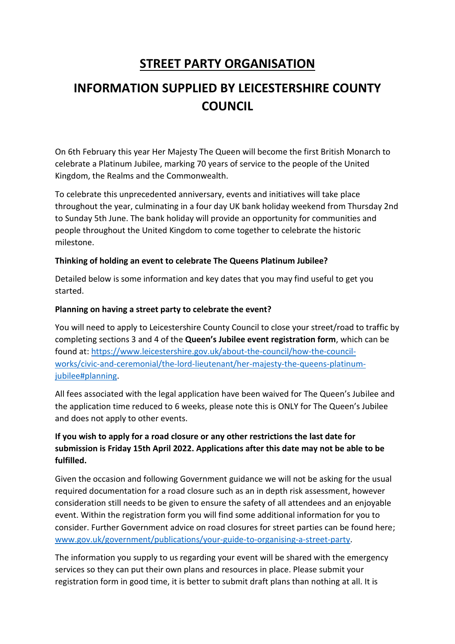## **STREET PARTY ORGANISATION**

# **INFORMATION SUPPLIED BY LEICESTERSHIRE COUNTY COUNCIL**

On 6th February this year Her Majesty The Queen will become the first British Monarch to celebrate a Platinum Jubilee, marking 70 years of service to the people of the United Kingdom, the Realms and the Commonwealth.

To celebrate this unprecedented anniversary, events and initiatives will take place throughout the year, culminating in a four day UK bank holiday weekend from Thursday 2nd to Sunday 5th June. The bank holiday will provide an opportunity for communities and people throughout the United Kingdom to come together to celebrate the historic milestone.

## **Thinking of holding an event to celebrate The Queens Platinum Jubilee?**

Detailed below is some information and key dates that you may find useful to get you started.

## **Planning on having a street party to celebrate the event?**

You will need to apply to Leicestershire County Council to close your street/road to traffic by completing sections 3 and 4 of the **Queen's Jubilee event registration form**, which can be found at: [https://www.leicestershire.gov.uk/about-the-council/how-the-council](https://www.leicestershire.gov.uk/about-the-council/how-the-council-works/civic-and-ceremonial/the-lord-lieutenant/her-majesty-the-queens-platinum-jubilee#planning)[works/civic-and-ceremonial/the-lord-lieutenant/her-majesty-the-queens-platinum](https://www.leicestershire.gov.uk/about-the-council/how-the-council-works/civic-and-ceremonial/the-lord-lieutenant/her-majesty-the-queens-platinum-jubilee#planning)[jubilee#planning.](https://www.leicestershire.gov.uk/about-the-council/how-the-council-works/civic-and-ceremonial/the-lord-lieutenant/her-majesty-the-queens-platinum-jubilee#planning)

All fees associated with the legal application have been waived for The Queen's Jubilee and the application time reduced to 6 weeks, please note this is ONLY for The Queen's Jubilee and does not apply to other events.

## **If you wish to apply for a road closure or any other restrictions the last date for submission is Friday 15th April 2022. Applications after this date may not be able to be fulfilled.**

Given the occasion and following Government guidance we will not be asking for the usual required documentation for a road closure such as an in depth risk assessment, however consideration still needs to be given to ensure the safety of all attendees and an enjoyable event. Within the registration form you will find some additional information for you to consider. Further Government advice on road closures for street parties can be found here; [www.gov.uk/government/publications/your-guide-to-organising-a-street-party.](http://www.gov.uk/government/publications/your-guide-to-organising-a-street-party)

The information you supply to us regarding your event will be shared with the emergency services so they can put their own plans and resources in place. Please submit your registration form in good time, it is better to submit draft plans than nothing at all. It is